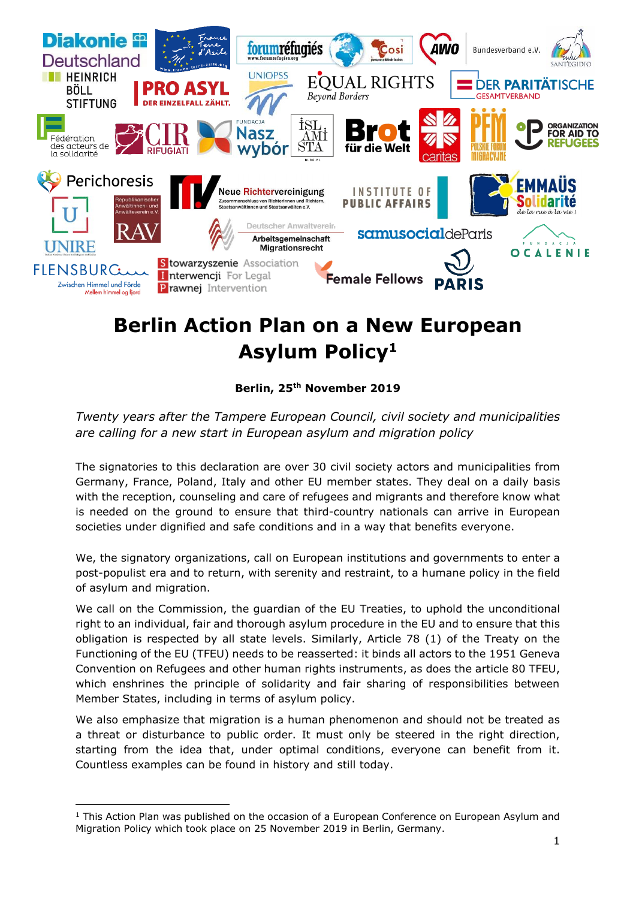

# **Berlin Action Plan on a New European Asylum Policy<sup>1</sup>**

#### **Berlin, 25th November 2019**

*Twenty years after the Tampere European Council, civil society and municipalities are calling for a new start in European asylum and migration policy*

The signatories to this declaration are over 30 civil society actors and municipalities from Germany, France, Poland, Italy and other EU member states. They deal on a daily basis with the reception, counseling and care of refugees and migrants and therefore know what is needed on the ground to ensure that third-country nationals can arrive in European societies under dignified and safe conditions and in a way that benefits everyone.

We, the signatory organizations, call on European institutions and governments to enter a post-populist era and to return, with serenity and restraint, to a humane policy in the field of asylum and migration.

We call on the Commission, the guardian of the EU Treaties, to uphold the unconditional right to an individual, fair and thorough asylum procedure in the EU and to ensure that this obligation is respected by all state levels. Similarly, Article 78 (1) of the Treaty on the Functioning of the EU (TFEU) needs to be reasserted: it binds all actors to the 1951 Geneva Convention on Refugees and other human rights instruments, as does the article 80 TFEU, which enshrines the principle of solidarity and fair sharing of responsibilities between Member States, including in terms of asylum policy.

We also emphasize that migration is a human phenomenon and should not be treated as a threat or disturbance to public order. It must only be steered in the right direction, starting from the idea that, under optimal conditions, everyone can benefit from it. Countless examples can be found in history and still today.

1

 $1$  This Action Plan was published on the occasion of a European Conference on European Asylum and Migration Policy which took place on 25 November 2019 in Berlin, Germany.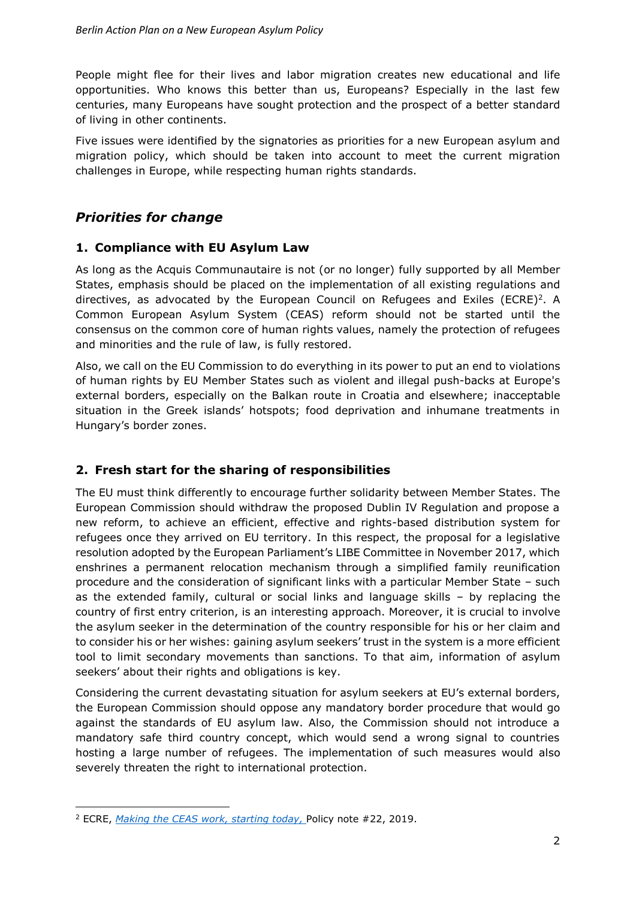People might flee for their lives and labor migration creates new educational and life opportunities. Who knows this better than us, Europeans? Especially in the last few centuries, many Europeans have sought protection and the prospect of a better standard of living in other continents.

Five issues were identified by the signatories as priorities for a new European asylum and migration policy, which should be taken into account to meet the current migration challenges in Europe, while respecting human rights standards.

## *Priorities for change*

#### **1. Compliance with EU Asylum Law**

As long as the Acquis Communautaire is not (or no longer) fully supported by all Member States, emphasis should be placed on the implementation of all existing regulations and directives, as advocated by the European Council on Refugees and Exiles (ECRE)<sup>2</sup>. A Common European Asylum System (CEAS) reform should not be started until the consensus on the common core of human rights values, namely the protection of refugees and minorities and the rule of law, is fully restored.

Also, we call on the EU Commission to do everything in its power to put an end to violations of human rights by EU Member States such as violent and illegal push-backs at Europe's external borders, especially on the Balkan route in Croatia and elsewhere; inacceptable situation in the Greek islands' hotspots; food deprivation and inhumane treatments in Hungary's border zones.

## **2. Fresh start for the sharing of responsibilities**

The EU must think differently to encourage further solidarity between Member States. The European Commission should withdraw the proposed Dublin IV Regulation and propose a new reform, to achieve an efficient, effective and rights-based distribution system for refugees once they arrived on EU territory. In this respect, the proposal for a legislative resolution adopted by the European Parliament's LIBE Committee in November 2017, which enshrines a permanent relocation mechanism through a simplified family reunification procedure and the consideration of significant links with a particular Member State – such as the extended family, cultural or social links and language skills – by replacing the country of first entry criterion, is an interesting approach. Moreover, it is crucial to involve the asylum seeker in the determination of the country responsible for his or her claim and to consider his or her wishes: gaining asylum seekers' trust in the system is a more efficient tool to limit secondary movements than sanctions. To that aim, information of asylum seekers' about their rights and obligations is key.

Considering the current devastating situation for asylum seekers at EU's external borders, the European Commission should oppose any mandatory border procedure that would go against the standards of EU asylum law. Also, the Commission should not introduce a mandatory safe third country concept, which would send a wrong signal to countries hosting a large number of refugees. The implementation of such measures would also severely threaten the right to international protection.

**<sup>.</sup>** <sup>2</sup> ECRE, *[Making the CEAS work, starting today,](https://www.ecre.org/ecre-policy-note-making-the-ceas-work-starting-today/)* Policy note #22, 2019.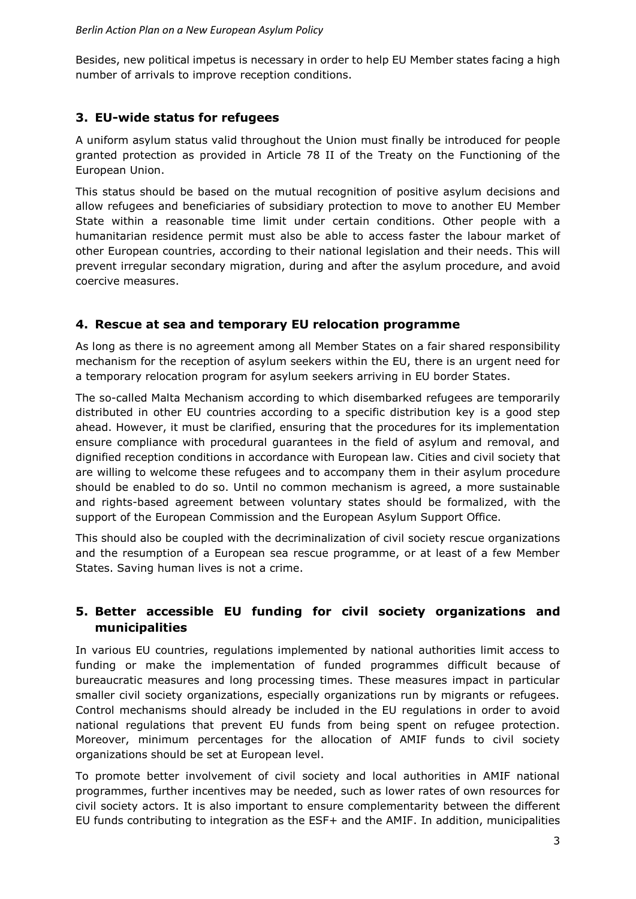Besides, new political impetus is necessary in order to help EU Member states facing a high number of arrivals to improve reception conditions.

#### **3. EU-wide status for refugees**

A uniform asylum status valid throughout the Union must finally be introduced for people granted protection as provided in Article 78 II of the Treaty on the Functioning of the European Union.

This status should be based on the mutual recognition of positive asylum decisions and allow refugees and beneficiaries of subsidiary protection to move to another EU Member State within a reasonable time limit under certain conditions. Other people with a humanitarian residence permit must also be able to access faster the labour market of other European countries, according to their national legislation and their needs. This will prevent irregular secondary migration, during and after the asylum procedure, and avoid coercive measures.

#### **4. Rescue at sea and temporary EU relocation programme**

As long as there is no agreement among all Member States on a fair shared responsibility mechanism for the reception of asylum seekers within the EU, there is an urgent need for a temporary relocation program for asylum seekers arriving in EU border States.

The so-called Malta Mechanism according to which disembarked refugees are temporarily distributed in other EU countries according to a specific distribution key is a good step ahead. However, it must be clarified, ensuring that the procedures for its implementation ensure compliance with procedural guarantees in the field of asylum and removal, and dignified reception conditions in accordance with European law. Cities and civil society that are willing to welcome these refugees and to accompany them in their asylum procedure should be enabled to do so. Until no common mechanism is agreed, a more sustainable and rights-based agreement between voluntary states should be formalized, with the support of the European Commission and the European Asylum Support Office.

This should also be coupled with the decriminalization of civil society rescue organizations and the resumption of a European sea rescue programme, or at least of a few Member States. Saving human lives is not a crime.

## **5. Better accessible EU funding for civil society organizations and municipalities**

In various EU countries, regulations implemented by national authorities limit access to funding or make the implementation of funded programmes difficult because of bureaucratic measures and long processing times. These measures impact in particular smaller civil society organizations, especially organizations run by migrants or refugees. Control mechanisms should already be included in the EU regulations in order to avoid national regulations that prevent EU funds from being spent on refugee protection. Moreover, minimum percentages for the allocation of AMIF funds to civil society organizations should be set at European level.

To promote better involvement of civil society and local authorities in AMIF national programmes, further incentives may be needed, such as lower rates of own resources for civil society actors. It is also important to ensure complementarity between the different EU funds contributing to integration as the ESF+ and the AMIF. In addition, municipalities